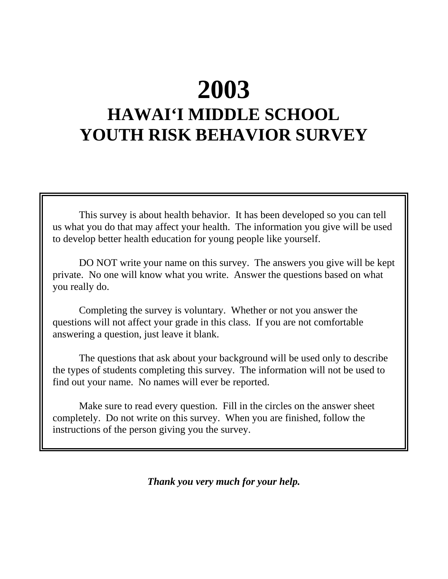# **2003**

# **HAWAI'I MIDDLE SCHOOL YOUTH RISK BEHAVIOR SURVEY**

This survey is about health behavior. It has been developed so you can tell us what you do that may affect your health. The information you give will be used to develop better health education for young people like yourself.

DO NOT write your name on this survey. The answers you give will be kept private. No one will know what you write. Answer the questions based on what you really do.

Completing the survey is voluntary. Whether or not you answer the questions will not affect your grade in this class. If you are not comfortable answering a question, just leave it blank.

The questions that ask about your background will be used only to describe the types of students completing this survey. The information will not be used to find out your name. No names will ever be reported.

Make sure to read every question. Fill in the circles on the answer sheet completely. Do not write on this survey. When you are finished, follow the instructions of the person giving you the survey.

*Thank you very much for your help.*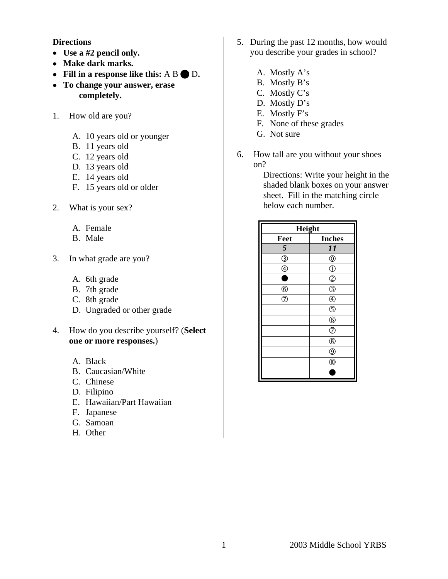#### **Directions**

- • **Use a #2 pencil only.**
- • **Make dark marks.**
- Fill in a response like this: A B  $\bigcirc$  D.
- • **To change your answer, erase completely.**
- 1. How old are you?
	- A. 10 years old or younger
	- B. 11 years old
	- C. 12 years old
	- D. 13 years old
	- E. 14 years old
	- F. 15 years old or older
- 2. What is your sex?
	- A. Female
	- B. Male
- 3. In what grade are you?
	- A. 6th grade
	- B. 7th grade
	- C. 8th grade
	- D. Ungraded or other grade
- 4. How do you describe yourself? (**Select one or more responses.**)
	- A. Black
	- B. Caucasian/White
	- C. Chinese
	- D. Filipino
	- E. Hawaiian/Part Hawaiian
	- F. Japanese
	- G. Samoan
	- H. Other
- 5. During the past 12 months, how would you describe your grades in school?
	- A. Mostly A's
	- B. Mostly B's
	- C. Mostly C's
	- D. Mostly D's
	- E. Mostly F's
	- F. None of these grades
	- G. Not sure
- 6. How tall are you without your shoes on?

Directions: Write your height in the shaded blank boxes on your answer sheet. Fill in the matching circle below each number.

| Height                    |                           |
|---------------------------|---------------------------|
| Feet                      | <b>Inches</b>             |
| 5                         | 11                        |
| $\vec{O}$                 | $^{\circledR}$            |
| $\overline{\circledcirc}$ | $\circled{0}$             |
| ¢                         | $^{\circledR}$            |
| $\underline{\circ}$       | ③                         |
| $\overline{\circ}$        | $^{\circledR}$            |
|                           | $\overline{\mathbb{O}}$   |
|                           | $^{\circledR}$            |
|                           | $\overline{\circ}$        |
|                           | $^{\circledR}$            |
|                           | $\overline{\circledcirc}$ |
|                           | $^{\circledR}$            |
|                           |                           |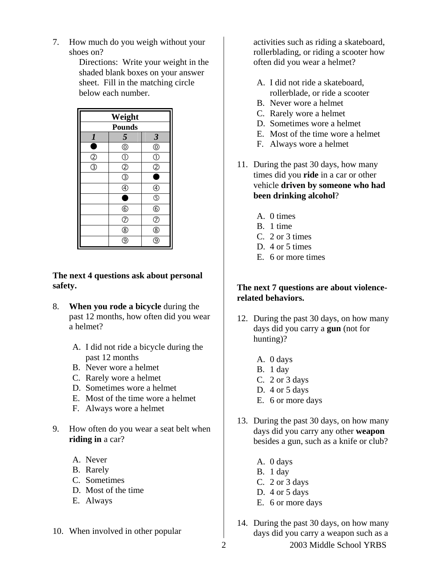7. How much do you weigh without your shoes on?

> Directions: Write your weight in the shaded blank boxes on your answer sheet. Fill in the matching circle below each number.



**The next 4 questions ask about personal safety.**

- 8. **When you rode a bicycle** during the past 12 months, how often did you wear a helmet?
	- A. I did not ride a bicycle during the past 12 months
	- B. Never wore a helmet
	- C. Rarely wore a helmet
	- D. Sometimes wore a helmet
	- E. Most of the time wore a helmet
	- F. Always wore a helmet
- 9. How often do you wear a seat belt when **riding in** a car?
	- A. Never
	- B. Rarely
	- C. Sometimes
	- D. Most of the time
	- E. Always
- 10. When involved in other popular

activities such as riding a skateboard, rollerblading, or riding a scooter how often did you wear a helmet?

- A. I did not ride a skateboard, rollerblade, or ride a scooter
- B. Never wore a helmet
- C. Rarely wore a helmet
- D. Sometimes wore a helmet
- E. Most of the time wore a helmet
- F. Always wore a helmet
- 11. During the past 30 days, how many times did you **ride** in a car or other vehicle **driven by someone who had been drinking alcohol**?
	- A. 0 times
	- B. 1 time
	- C. 2 or 3 times
	- D. 4 or 5 times
	- E. 6 or more times

# **The next 7 questions are about violencerelated behaviors.**

- 12. During the past 30 days, on how many days did you carry a **gun** (not for hunting)?
	- A. 0 days
	- B. 1 day
	- C. 2 or 3 days
	- D. 4 or 5 days
	- E. 6 or more days
- 13. During the past 30 days, on how many days did you carry any other **weapon** besides a gun, such as a knife or club?
	- A. 0 days
	- B. 1 day
	- C. 2 or 3 days
	- D. 4 or 5 days
	- E. 6 or more days
- 2 2003 Middle School YRBS 14. During the past 30 days, on how many days did you carry a weapon such as a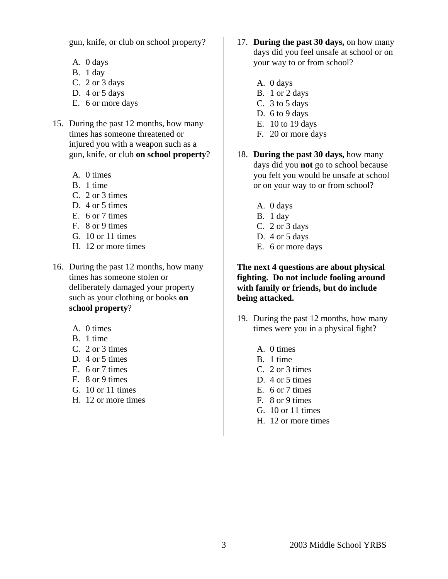gun, knife, or club on school property?

- A. 0 days
- B. 1 day
- C. 2 or 3 days
- D. 4 or 5 days
- E. 6 or more days
- 15. During the past 12 months, how many times has someone threatened or injured you with a weapon such as a gun, knife, or club **on school property**?
	- A. 0 times
	- B. 1 time
	- C. 2 or 3 times
	- D. 4 or 5 times
	- E. 6 or 7 times
	- F. 8 or 9 times
	- G. 10 or 11 times
	- H. 12 or more times
- 16. During the past 12 months, how many times has someone stolen or deliberately damaged your property such as your clothing or books **on school property**?
	- A. 0 times
	- B. 1 time
	- C. 2 or 3 times
	- D. 4 or 5 times
	- E. 6 or 7 times
	- F. 8 or 9 times
	- G. 10 or 11 times
	- H. 12 or more times
- 17. **During the past 30 days,** on how many days did you feel unsafe at school or on your way to or from school?
	- A. 0 days
	- B. 1 or 2 days
	- C. 3 to 5 days
	- D. 6 to 9 days
	- E. 10 to 19 days
	- F. 20 or more days
- 18. **During the past 30 days,** how many days did you **not** go to school because you felt you would be unsafe at school or on your way to or from school?
	- A. 0 days
	- B. 1 day
	- C. 2 or 3 days
	- D. 4 or 5 days
	- E. 6 or more days

### **The next 4 questions are about physical fighting. Do not include fooling around with family or friends, but do include being attacked.**

- 19. During the past 12 months, how many times were you in a physical fight?
	- A. 0 times
	- B. 1 time
	- C. 2 or 3 times
	- D. 4 or 5 times
	- E. 6 or 7 times
	- F. 8 or 9 times
	- G. 10 or 11 times
	- H. 12 or more times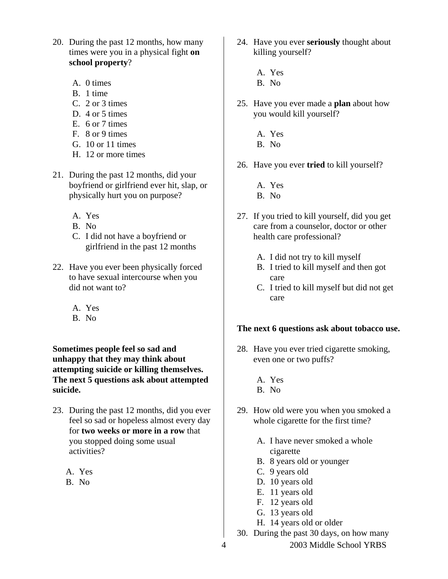- 20. During the past 12 months, how many times were you in a physical fight **on school property**?
	- A. 0 times
	- B. 1 time
	- C. 2 or 3 times
	- D. 4 or 5 times
	- E. 6 or 7 times
	- F. 8 or 9 times
	- G. 10 or 11 times
	- H. 12 or more times
- 21. During the past 12 months, did your boyfriend or girlfriend ever hit, slap, or physically hurt you on purpose?
	- A. Yes
	- B. No
	- C. I did not have a boyfriend or girlfriend in the past 12 months
- 22. Have you ever been physically forced to have sexual intercourse when you did not want to?
	- A. Yes
	- B. No

**Sometimes people feel so sad and unhappy that they may think about attempting suicide or killing themselves. The next 5 questions ask about attempted suicide.** 

- 23. During the past 12 months, did you ever feel so sad or hopeless almost every day for **two weeks or more in a row** that you stopped doing some usual activities?
	- A. Yes
	- B. No
- 24. Have you ever **seriously** thought about killing yourself?
	- A. Yes
	- B. No
- 25. Have you ever made a **plan** about how you would kill yourself?
	- A. Yes
	- B. No
- 26. Have you ever **tried** to kill yourself?
	- A. Yes
	- B. No
- 27. If you tried to kill yourself, did you get care from a counselor, doctor or other health care professional?
	- A. I did not try to kill myself
	- B. I tried to kill myself and then got care
	- C. I tried to kill myself but did not get care

# **The next 6 questions ask about tobacco use.**

- 28. Have you ever tried cigarette smoking, even one or two puffs?
	- A. Yes
	- B. No
- 29. How old were you when you smoked a whole cigarette for the first time?
	- A. I have never smoked a whole cigarette
	- B. 8 years old or younger
	- C. 9 years old
	- D. 10 years old
	- E. 11 years old
	- F. 12 years old
	- G. 13 years old
	- H. 14 years old or older
- 30. During the past 30 days, on how many
- 4 2003 Middle School YRBS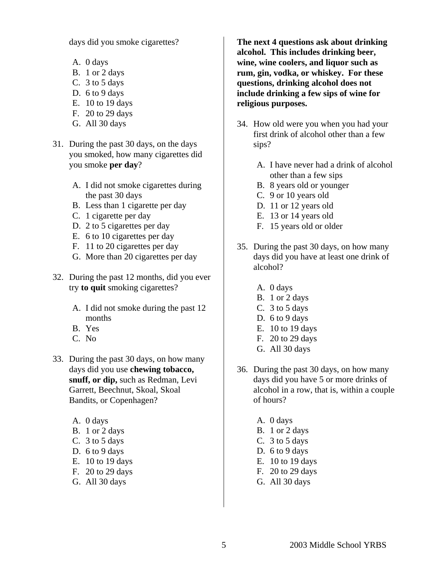days did you smoke cigarettes?

- A. 0 days
- B. 1 or 2 days
- C. 3 to 5 days
- D. 6 to 9 days
- E. 10 to 19 days
- F. 20 to 29 days
- G. All 30 days
- 31. During the past 30 days, on the days you smoked, how many cigarettes did you smoke **per day**?
	- A. I did not smoke cigarettes during the past 30 days
	- B. Less than 1 cigarette per day
	- C. 1 cigarette per day
	- D. 2 to 5 cigarettes per day
	- E. 6 to 10 cigarettes per day
	- F. 11 to 20 cigarettes per day
	- G. More than 20 cigarettes per day
- 32. During the past 12 months, did you ever try **to quit** smoking cigarettes?
	- A. I did not smoke during the past 12 months
	- B. Yes
	- C. No
- 33. During the past 30 days, on how many days did you use **chewing tobacco, snuff, or dip,** such as Redman, Levi Garrett, Beechnut, Skoal, Skoal Bandits, or Copenhagen?
	- A. 0 days
	- B. 1 or 2 days
	- C. 3 to 5 days
	- D. 6 to 9 days
	- E. 10 to 19 days
	- F. 20 to 29 days
	- G. All 30 days

**The next 4 questions ask about drinking alcohol. This includes drinking beer, wine, wine coolers, and liquor such as rum, gin, vodka, or whiskey. For these questions, drinking alcohol does not include drinking a few sips of wine for religious purposes.** 

- 34. How old were you when you had your first drink of alcohol other than a few sips?
	- A. I have never had a drink of alcohol other than a few sips
	- B. 8 years old or younger
	- C. 9 or 10 years old
	- D. 11 or 12 years old
	- E. 13 or 14 years old
	- F. 15 years old or older
- 35. During the past 30 days, on how many days did you have at least one drink of alcohol?
	- A. 0 days
	- B. 1 or 2 days
	- C. 3 to 5 days
	- D. 6 to 9 days
	- E. 10 to 19 days
	- F. 20 to 29 days
	- G. All 30 days
- 36. During the past 30 days, on how many days did you have 5 or more drinks of alcohol in a row, that is, within a couple of hours?
	- A. 0 days
	- B. 1 or 2 days
	- C. 3 to 5 days
	- D. 6 to 9 days
	- E. 10 to 19 days
	- F. 20 to 29 days
	- G. All 30 days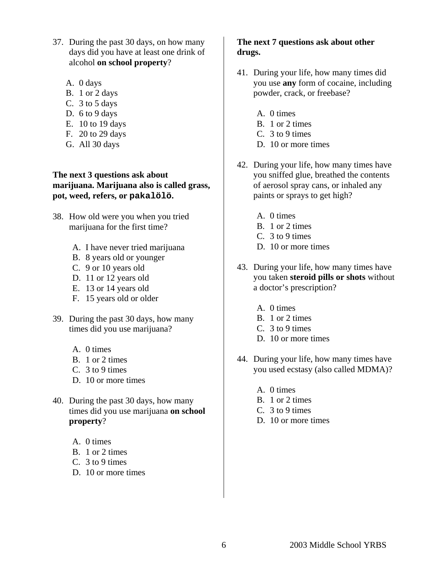- 37. During the past 30 days, on how many days did you have at least one drink of alcohol **on school property**?
	- A. 0 days
	- B. 1 or 2 days
	- C. 3 to 5 days
	- D. 6 to 9 days
	- E. 10 to 19 days
	- F. 20 to 29 days
	- G. All 30 days

**The next 3 questions ask about marijuana. Marijuana also is called grass, pot, weed, refers, or pakalölö.** 

- 38. How old were you when you tried marijuana for the first time?
	- A. I have never tried marijuana
	- B. 8 years old or younger
	- C. 9 or 10 years old
	- D. 11 or 12 years old
	- E. 13 or 14 years old
	- F. 15 years old or older
- 39. During the past 30 days, how many times did you use marijuana?
	- A. 0 times
	- B. 1 or 2 times
	- C. 3 to 9 times
	- D. 10 or more times
- 40. During the past 30 days, how many times did you use marijuana **on school property**?
	- A. 0 times
	- B. 1 or 2 times
	- C. 3 to 9 times
	- D. 10 or more times

# **The next 7 questions ask about other drugs.**

- 41. During your life, how many times did you use **any** form of cocaine, including powder, crack, or freebase?
	- A. 0 times
	- B. 1 or 2 times
	- C. 3 to 9 times
	- D. 10 or more times
- 42. During your life, how many times have you sniffed glue, breathed the contents of aerosol spray cans, or inhaled any paints or sprays to get high?
	- A. 0 times
	- B. 1 or 2 times
	- C. 3 to 9 times
	- D. 10 or more times
- 43. During your life, how many times have you taken **steroid pills or shots** without a doctor's prescription?
	- A. 0 times
	- B. 1 or 2 times
	- C. 3 to 9 times
	- D. 10 or more times
- 44. During your life, how many times have you used ecstasy (also called MDMA)?
	- A. 0 times
	- B. 1 or 2 times
	- C. 3 to 9 times
	- D. 10 or more times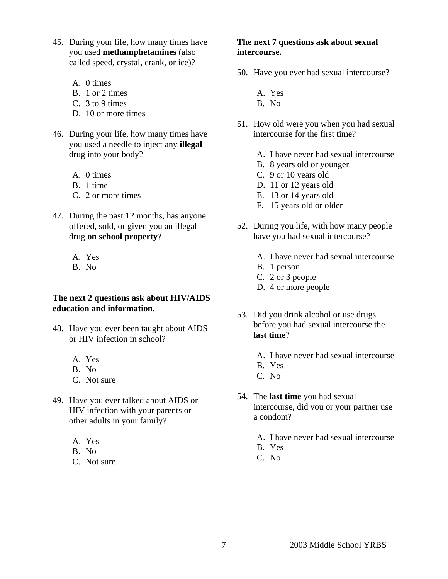- 45. During your life, how many times have you used **methamphetamines** (also called speed, crystal, crank, or ice)?
	- A. 0 times
	- B. 1 or 2 times
	- C. 3 to 9 times
	- D. 10 or more times
- 46. During your life, how many times have you used a needle to inject any **illegal** drug into your body?
	- A. 0 times
	- B. 1 time
	- C. 2 or more times
- 47. During the past 12 months, has anyone offered, sold, or given you an illegal drug **on school property**?
	- A. Yes
	- B. No

#### **The next 2 questions ask about HIV/AIDS education and information.**

- 48. Have you ever been taught about AIDS or HIV infection in school?
	- A. Yes
	- B. No
	- C. Not sure
- 49. Have you ever talked about AIDS or HIV infection with your parents or other adults in your family?
	- A. Yes
	- B. No
	- C. Not sure

# **The next 7 questions ask about sexual intercourse.**

- 50. Have you ever had sexual intercourse?
	- A. Yes
	- B. No
- 51. How old were you when you had sexual intercourse for the first time?
	- A. I have never had sexual intercourse
	- B. 8 years old or younger
	- C. 9 or 10 years old
	- D. 11 or 12 years old
	- E. 13 or 14 years old
	- F. 15 years old or older
- 52. During you life, with how many people have you had sexual intercourse?
	- A. I have never had sexual intercourse
	- B. 1 person
	- C. 2 or 3 people
	- D. 4 or more people
- 53. Did you drink alcohol or use drugs before you had sexual intercourse the **last time**?
	- A. I have never had sexual intercourse
	- B. Yes
	- C. No
- 54. The **last time** you had sexual intercourse, did you or your partner use a condom?
	- A. I have never had sexual intercourse
	- B. Yes
	- C. No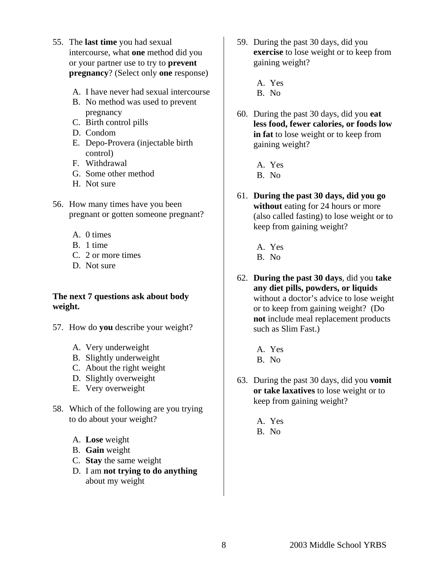- 55. The **last time** you had sexual intercourse, what **one** method did you or your partner use to try to **prevent pregnancy**? (Select only **one** response)
	- A. I have never had sexual intercourse
	- B. No method was used to prevent pregnancy
	- C. Birth control pills
	- D. Condom
	- E. Depo-Provera (injectable birth control)
	- F. Withdrawal
	- G. Some other method
	- H. Not sure
- 56. How many times have you been pregnant or gotten someone pregnant?
	- A. 0 times
	- B. 1 time
	- C. 2 or more times
	- D. Not sure

#### **The next 7 questions ask about body weight.**

- 57. How do **you** describe your weight?
	- A. Very underweight
	- B. Slightly underweight
	- C. About the right weight
	- D. Slightly overweight
	- E. Very overweight
- 58. Which of the following are you trying to do about your weight?
	- A. **Lose** weight
	- B. **Gain** weight
	- C. **Stay** the same weight
	- D. I am **not trying to do anything** about my weight
- 59. During the past 30 days, did you **exercise** to lose weight or to keep from gaining weight?
	- A. Yes
	- B. No
- 60. During the past 30 days, did you **eat less food, fewer calories, or foods low in fat** to lose weight or to keep from gaining weight?
	- A. Yes
	- B. No
- 61. **During the past 30 days, did you go without** eating for 24 hours or more (also called fasting) to lose weight or to keep from gaining weight?
	- A. Yes
	- B. No
- 62. **During the past 30 days**, did you **take any diet pills, powders, or liquids**  without a doctor's advice to lose weight or to keep from gaining weight? (Do **not** include meal replacement products such as Slim Fast.)
	- A. Yes B. No
- 63. During the past 30 days, did you **vomit or take laxatives** to lose weight or to keep from gaining weight?
	- A. Yes B. No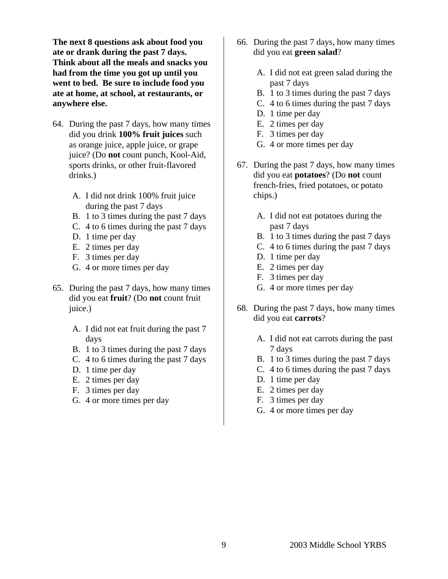**The next 8 questions ask about food you ate or drank during the past 7 days. Think about all the meals and snacks you had from the time you got up until you went to bed. Be sure to include food you ate at home, at school, at restaurants, or anywhere else.** 

- 64. During the past 7 days, how many times did you drink **100% fruit juices** such as orange juice, apple juice, or grape juice? (Do **not** count punch, Kool-Aid, sports drinks, or other fruit-flavored drinks.)
	- A. I did not drink 100% fruit juice during the past 7 days
	- B. 1 to 3 times during the past 7 days
	- C. 4 to 6 times during the past 7 days
	- D. 1 time per day
	- E. 2 times per day
	- F. 3 times per day
	- G. 4 or more times per day
- 65. During the past 7 days, how many times did you eat **fruit**? (Do **not** count fruit juice.)
	- A. I did not eat fruit during the past 7 days
	- B. 1 to 3 times during the past 7 days
	- C. 4 to 6 times during the past 7 days
	- D. 1 time per day
	- E. 2 times per day
	- F. 3 times per day
	- G. 4 or more times per day
- 66. During the past 7 days, how many times did you eat **green salad**?
	- A. I did not eat green salad during the past 7 days
	- B. 1 to 3 times during the past 7 days
	- C. 4 to 6 times during the past 7 days
	- D. 1 time per day
	- E. 2 times per day
	- F. 3 times per day
	- G. 4 or more times per day
- 67. During the past 7 days, how many times did you eat **potatoes**? (Do **not** count french-fries, fried potatoes, or potato chips.)
	- A. I did not eat potatoes during the past 7 days
	- B. 1 to 3 times during the past 7 days
	- C. 4 to 6 times during the past 7 days
	- D. 1 time per day
	- E. 2 times per day
	- F. 3 times per day
	- G. 4 or more times per day
- 68. During the past 7 days, how many times did you eat **carrots**?
	- A. I did not eat carrots during the past 7 days
	- B. 1 to 3 times during the past 7 days
	- C. 4 to 6 times during the past 7 days
	- D. 1 time per day
	- E. 2 times per day
	- F. 3 times per day
	- G. 4 or more times per day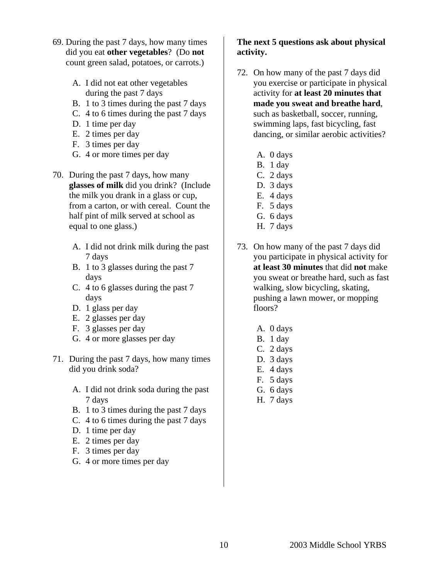- 69. During the past 7 days, how many times did you eat **other vegetables**? (Do **not** count green salad, potatoes, or carrots.)
	- A. I did not eat other vegetables during the past 7 days
	- B. 1 to 3 times during the past 7 days
	- C. 4 to 6 times during the past 7 days
	- D. 1 time per day
	- E. 2 times per day
	- F. 3 times per day
	- G. 4 or more times per day
- 70. During the past 7 days, how many **glasses of milk** did you drink? (Include the milk you drank in a glass or cup, from a carton, or with cereal. Count the half pint of milk served at school as equal to one glass.)
	- A. I did not drink milk during the past 7 days
	- B. 1 to 3 glasses during the past 7 days
	- C. 4 to 6 glasses during the past 7 days
	- D. 1 glass per day
	- E. 2 glasses per day
	- F. 3 glasses per day
	- G. 4 or more glasses per day
- 71. During the past 7 days, how many times did you drink soda?
	- A. I did not drink soda during the past 7 days
	- B. 1 to 3 times during the past 7 days
	- C. 4 to 6 times during the past 7 days
	- D. 1 time per day
	- E. 2 times per day
	- F. 3 times per day
	- G. 4 or more times per day

# **The next 5 questions ask about physical activity.**

- 72. On how many of the past 7 days did you exercise or participate in physical activity for **at least 20 minutes that made you sweat and breathe hard**, such as basketball, soccer, running, swimming laps, fast bicycling, fast dancing, or similar aerobic activities?
	- A. 0 days
	- B. 1 day
	- C. 2 days
	- D. 3 days
	- E. 4 days
	- F. 5 days
	- G. 6 days
	- H. 7 days
- 73. On how many of the past 7 days did you participate in physical activity for **at least 30 minutes** that did **not** make you sweat or breathe hard, such as fast walking, slow bicycling, skating, pushing a lawn mower, or mopping floors?
	- A. 0 days
	- B. 1 day
	- C. 2 days
	- D. 3 days
	- E. 4 days
	- F. 5 days
	- G. 6 days
	- H. 7 days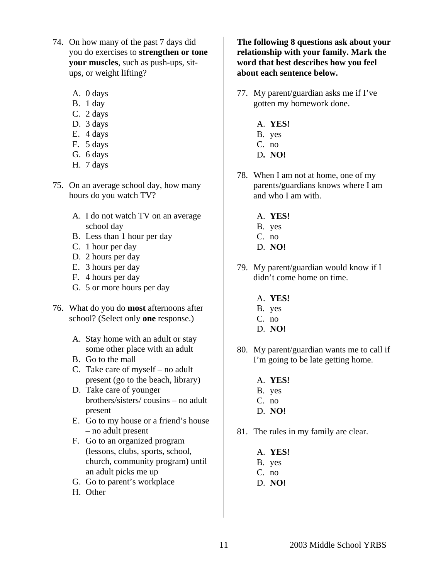- 74. On how many of the past 7 days did you do exercises to **strengthen or tone your muscles**, such as push-ups, situps, or weight lifting?
	- A. 0 days
	- B. 1 day
	- C. 2 days
	- D. 3 days
	- E. 4 days
	- F. 5 days
	- G. 6 days
	- H. 7 days
- 75. On an average school day, how many hours do you watch TV?
	- A. I do not watch TV on an average school day
	- B. Less than 1 hour per day
	- C. 1 hour per day
	- D. 2 hours per day
	- E. 3 hours per day
	- F. 4 hours per day
	- G. 5 or more hours per day
- 76. What do you do **most** afternoons after school? (Select only **one** response.)
	- A. Stay home with an adult or stay some other place with an adult
	- B. Go to the mall
	- C. Take care of myself no adult present (go to the beach, library)
	- D. Take care of younger brothers/sisters/ cousins – no adult present
	- E. Go to my house or a friend's house – no adult present
	- F. Go to an organized program (lessons, clubs, sports, school, church, community program) until an adult picks me up
	- G. Go to parent's workplace
	- H. Other

**The following 8 questions ask about your relationship with your family. Mark the word that best describes how you feel about each sentence below.** 

- 77. My parent/guardian asks me if I've gotten my homework done.
	- A. **YES!**
	- B. yes
	- C. no
	- D**. NO!**
- 78. When I am not at home, one of my parents/guardians knows where I am and who I am with.
	- A. **YES!**
	- B. yes
	- C. no
	- D. **NO!**
- 79. My parent/guardian would know if I didn't come home on time.
	- A. **YES!**
	- B. yes
	- C. no
	- D. **NO!**
- 80. My parent/guardian wants me to call if I'm going to be late getting home.
	- A. **YES!**
	- B. yes
	- C. no
	- D. **NO!**
- 81. The rules in my family are clear.
	- A. **YES!**
	- B. yes
	- C. no
	- D. **NO!**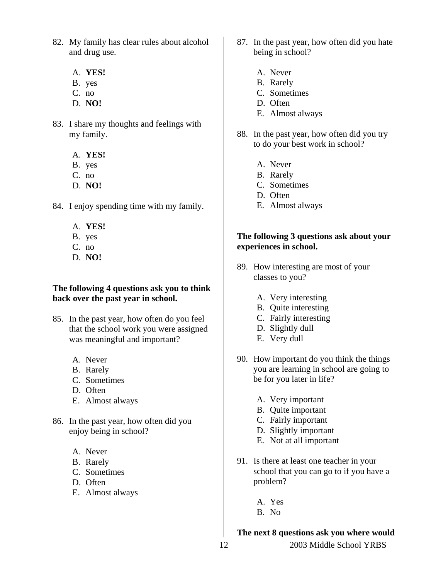- 82. My family has clear rules about alcohol and drug use.
	- A. **YES!**
	- B. yes
	- C. no
	- D. **NO!**
- 83. I share my thoughts and feelings with my family.
	- A. **YES!**
	- B. yes
	- C. no
	- D. **NO!**
- 84. I enjoy spending time with my family.
	- A. **YES!**
	- B. yes
	- C. no
	- D. **NO!**

#### **The following 4 questions ask you to think back over the past year in school.**

- 85. In the past year, how often do you feel that the school work you were assigned was meaningful and important?
	- A. Never
	- B. Rarely
	- C. Sometimes
	- D. Often
	- E. Almost always
- 86. In the past year, how often did you enjoy being in school?
	- A. Never
	- B. Rarely
	- C. Sometimes
	- D. Often
	- E. Almost always
- 87. In the past year, how often did you hate being in school?
	- A. Never
	- B. Rarely
	- C. Sometimes
	- D. Often
	- E. Almost always
- 88. In the past year, how often did you try to do your best work in school?
	- A. Never
	- B. Rarely
	- C. Sometimes
	- D. Often
	- E. Almost always

#### **The following 3 questions ask about your experiences in school.**

- 89. How interesting are most of your classes to you?
	- A. Very interesting
	- B. Quite interesting
	- C. Fairly interesting
	- D. Slightly dull
	- E. Very dull
- 90. How important do you think the things you are learning in school are going to be for you later in life?
	- A. Very important
	- B. Quite important
	- C. Fairly important
	- D. Slightly important
	- E. Not at all important
- 91. Is there at least one teacher in your school that you can go to if you have a problem?
	- A. Yes
	- B. No

#### **The next 8 questions ask you where would**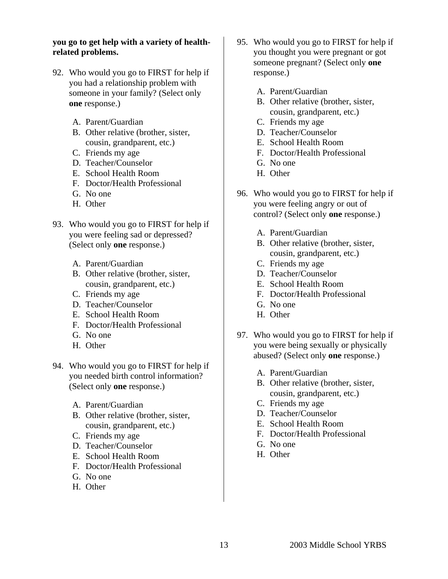## **you go to get help with a variety of healthrelated problems.**

- 92. Who would you go to FIRST for help if you had a relationship problem with someone in your family? (Select only **one** response.)
	- A. Parent/Guardian
	- B. Other relative (brother, sister, cousin, grandparent, etc.)
	- C. Friends my age
	- D. Teacher/Counselor
	- E. School Health Room
	- F. Doctor/Health Professional
	- G. No one
	- H. Other
- 93. Who would you go to FIRST for help if you were feeling sad or depressed? (Select only **one** response.)
	- A. Parent/Guardian
	- B. Other relative (brother, sister, cousin, grandparent, etc.)
	- C. Friends my age
	- D. Teacher/Counselor
	- E. School Health Room
	- F. Doctor/Health Professional
	- G. No one
	- H. Other
- 94. Who would you go to FIRST for help if you needed birth control information? (Select only **one** response.)
	- A. Parent/Guardian
	- B. Other relative (brother, sister, cousin, grandparent, etc.)
	- C. Friends my age
	- D. Teacher/Counselor
	- E. School Health Room
	- F. Doctor/Health Professional
	- G. No one
	- H. Other
- 95. Who would you go to FIRST for help if you thought you were pregnant or got someone pregnant? (Select only **one** response.)
	- A. Parent/Guardian
	- B. Other relative (brother, sister, cousin, grandparent, etc.)
	- C. Friends my age
	- D. Teacher/Counselor
	- E. School Health Room
	- F. Doctor/Health Professional
	- G. No one
	- H. Other
- 96. Who would you go to FIRST for help if you were feeling angry or out of control? (Select only **one** response.)
	- A. Parent/Guardian
	- B. Other relative (brother, sister, cousin, grandparent, etc.)
	- C. Friends my age
	- D. Teacher/Counselor
	- E. School Health Room
	- F. Doctor/Health Professional
	- G. No one
	- H. Other
- 97. Who would you go to FIRST for help if you were being sexually or physically abused? (Select only **one** response.)
	- A. Parent/Guardian
	- B. Other relative (brother, sister, cousin, grandparent, etc.)
	- C. Friends my age
	- D. Teacher/Counselor
	- E. School Health Room
	- F. Doctor/Health Professional
	- G. No one
	- H. Other